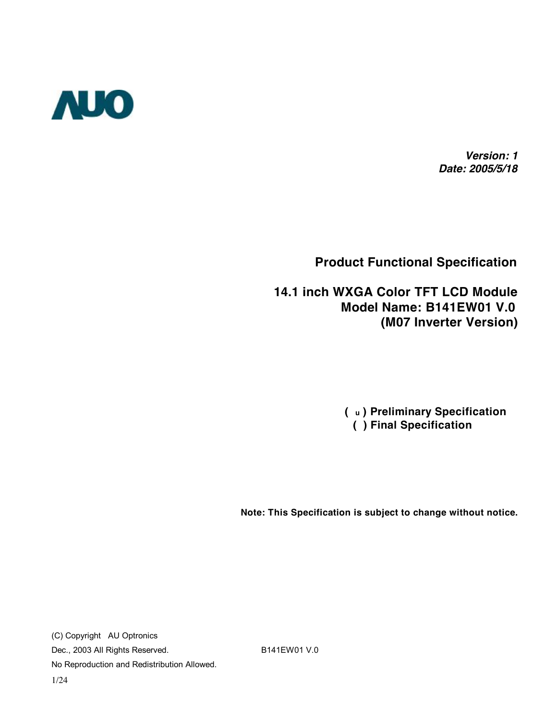

*Version: 1 Date: 2005/5/18*

**Product Functional Specification** 

 **14.1 inch WXGA Color TFT LCD Module Model Name: B141EW01 V.0 (M07 Inverter Version)** 

> **( <sup>u</sup> ) Preliminary Specification ( ) Final Specification**

**Note: This Specification is subject to change without notice.**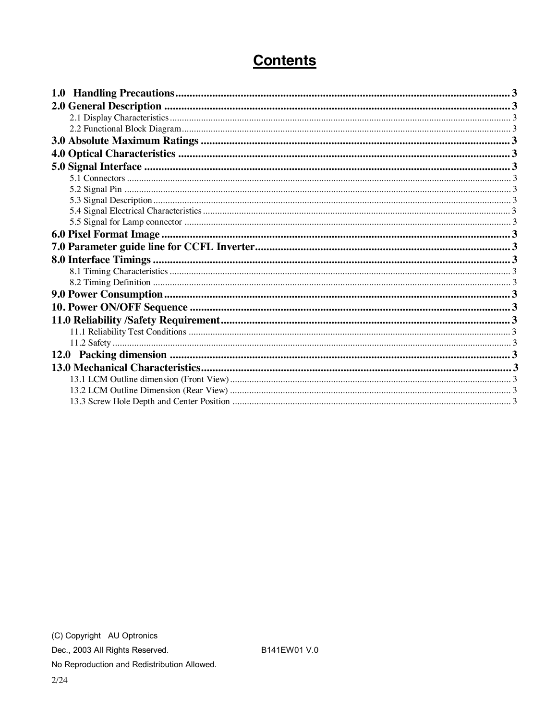# **Contents**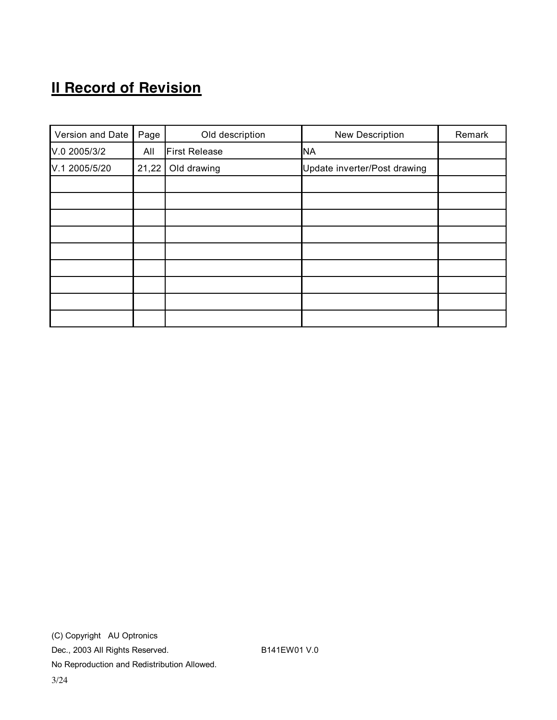# **II Record of Revision**

| Version and Date | Page  | Old description      | New Description              | Remark |
|------------------|-------|----------------------|------------------------------|--------|
| V.0 2005/3/2     | All   | <b>First Release</b> | <b>NA</b>                    |        |
| V.1 2005/5/20    | 21,22 | Old drawing          | Update inverter/Post drawing |        |
|                  |       |                      |                              |        |
|                  |       |                      |                              |        |
|                  |       |                      |                              |        |
|                  |       |                      |                              |        |
|                  |       |                      |                              |        |
|                  |       |                      |                              |        |
|                  |       |                      |                              |        |
|                  |       |                      |                              |        |
|                  |       |                      |                              |        |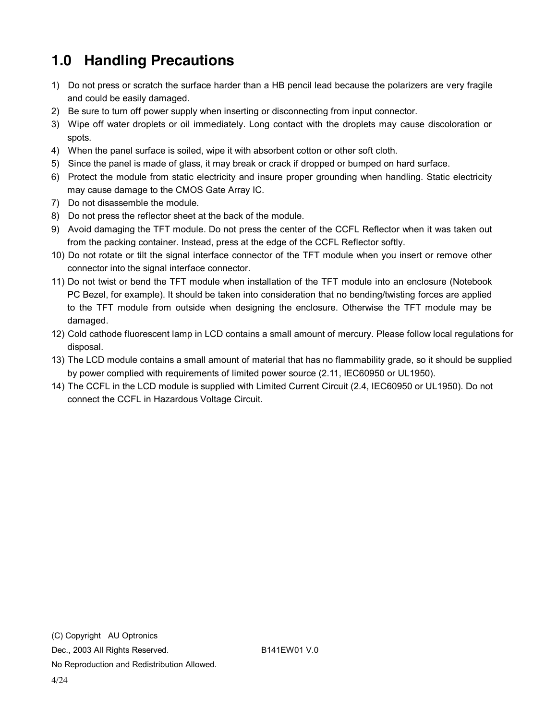# **1.0 Handling Precautions**

- 1) Do not press or scratch the surface harder than a HB pencil lead because the polarizers are very fragile and could be easily damaged.
- 2) Be sure to turn off power supply when inserting or disconnecting from input connector.
- 3) Wipe off water droplets or oil immediately. Long contact with the droplets may cause discoloration or spots.
- 4) When the panel surface is soiled, wipe it with absorbent cotton or other soft cloth.
- 5) Since the panel is made of glass, it may break or crack if dropped or bumped on hard surface.
- 6) Protect the module from static electricity and insure proper grounding when handling. Static electricity may cause damage to the CMOS Gate Array IC.
- 7) Do not disassemble the module.
- 8) Do not press the reflector sheet at the back of the module.
- 9) Avoid damaging the TFT module. Do not press the center of the CCFL Reflector when it was taken out from the packing container. Instead, press at the edge of the CCFL Reflector softly.
- 10) Do not rotate or tilt the signal interface connector of the TFT module when you insert or remove other connector into the signal interface connector.
- 11) Do not twist or bend the TFT module when installation of the TFT module into an enclosure (Notebook PC Bezel, for example). It should be taken into consideration that no bending/twisting forces are applied to the TFT module from outside when designing the enclosure. Otherwise the TFT module may be damaged.
- 12) Cold cathode fluorescent lamp in LCD contains a small amount of mercury. Please follow local regulations for disposal.
- 13) The LCD module contains a small amount of material that has no flammability grade, so it should be supplied by power complied with requirements of limited power source (2.11, IEC60950 or UL1950).
- 14) The CCFL in the LCD module is supplied with Limited Current Circuit (2.4, IEC60950 or UL1950). Do not connect the CCFL in Hazardous Voltage Circuit.

4/24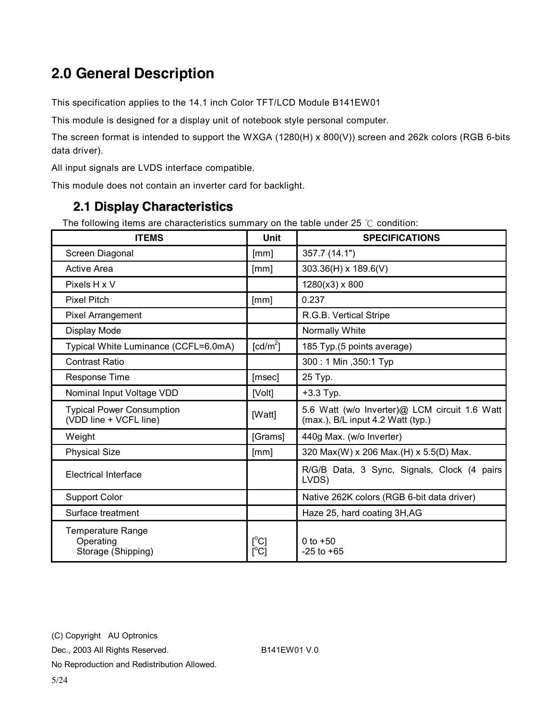# **2.0 General Description**

This specification applies to the 14.1 inch Color TFT/LCD Module B141EW01

This module is designed for a display unit of notebook style personal computer.

The screen format is intended to support the WXGA (1280(H) x 800(V)) screen and 262k colors (RGB 6-bits data driver).

All input signals are LVDS interface compatible.

This module does not contain an inverter card for backlight.

### **2.1 Display Characteristics**

The following items are characteristics summary on the table under 25 ℃ condition:

| <b>ITEMS</b>                                                | <b>Unit</b>                                              | <b>SPECIFICATIONS</b>                                                              |
|-------------------------------------------------------------|----------------------------------------------------------|------------------------------------------------------------------------------------|
| Screen Diagonal                                             | [mm]                                                     | 357.7 (14.1")                                                                      |
| <b>Active Area</b>                                          | [mm]                                                     | 303.36(H) x 189.6(V)                                                               |
| Pixels H x V                                                |                                                          | $1280(x3)$ x 800                                                                   |
| <b>Pixel Pitch</b>                                          | [mm]                                                     | 0.237                                                                              |
| <b>Pixel Arrangement</b>                                    |                                                          | R.G.B. Vertical Stripe                                                             |
| Display Mode                                                |                                                          | Normally White                                                                     |
| Typical White Luminance (CCFL=6.0mA)                        | $\lceil cd/m^2 \rceil$                                   | 185 Typ.(5 points average)                                                         |
| <b>Contrast Ratio</b>                                       |                                                          | 300: 1 Min, 350: 1 Typ                                                             |
| Response Time                                               | [msec]                                                   | 25 Typ.                                                                            |
| Nominal Input Voltage VDD                                   | [Volt]                                                   | $+3.3$ Typ.                                                                        |
| <b>Typical Power Consumption</b><br>(VDD line + VCFL line)  | [Watt]                                                   | 5.6 Watt (w/o Inverter)@ LCM circuit 1.6 Watt<br>(max.), B/L input 4.2 Watt (typ.) |
| Weight                                                      | [Grams]                                                  | 440g Max. (w/o Inverter)                                                           |
| <b>Physical Size</b>                                        | [mm]                                                     | 320 Max(W) x 206 Max.(H) x 5.5(D) Max.                                             |
| Electrical Interface                                        |                                                          | R/G/B Data, 3 Sync, Signals, Clock (4 pairs<br>LVDS)                               |
| <b>Support Color</b>                                        |                                                          | Native 262K colors (RGB 6-bit data driver)                                         |
| Surface treatment                                           |                                                          | Haze 25, hard coating 3H, AG                                                       |
| <b>Temperature Range</b><br>Operating<br>Storage (Shipping) | $\mathsf{I}^\circ\mathsf{C} \mathsf{I}$<br>$[^{\circ}C]$ | 0 to $+50$<br>$-25$ to $+65$                                                       |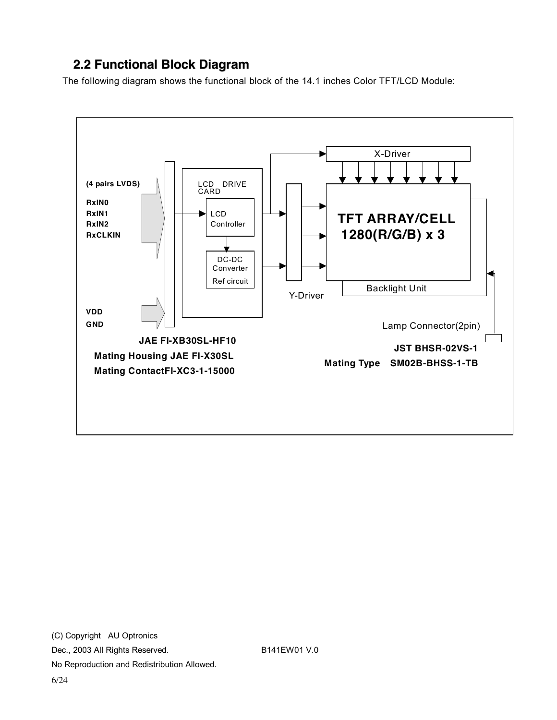## **2.2 Functional Block Diagram**

The following diagram shows the functional block of the 14.1 inches Color TFT/LCD Module:

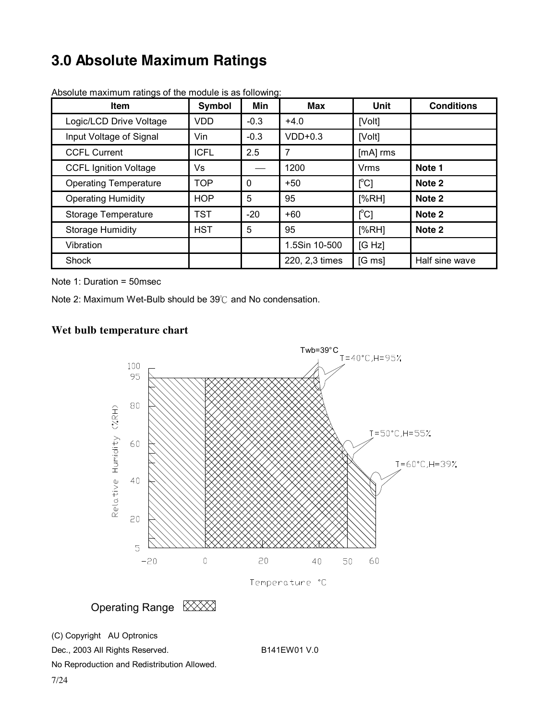# **3.0 Absolute Maximum Ratings**

| <b>Item</b>                  | Symbol      | Min          | <b>Max</b>     | <b>Unit</b>              | <b>Conditions</b> |
|------------------------------|-------------|--------------|----------------|--------------------------|-------------------|
| Logic/LCD Drive Voltage      | <b>VDD</b>  | $-0.3$       | $+4.0$         | [Volt]                   |                   |
| Input Voltage of Signal      | Vin         | $-0.3$       | $VDD+0.3$      | [Volt]                   |                   |
| <b>CCFL Current</b>          | <b>ICFL</b> | 2.5          | 7              | [mA] rms                 |                   |
| <b>CCFL Ignition Voltage</b> | Vs          |              | 1200           | <b>Vrms</b>              | Note 1            |
| <b>Operating Temperature</b> | <b>TOP</b>  | $\mathbf{0}$ | $+50$          | $\Gamma$ <sup>o</sup> Cl | Note 2            |
| <b>Operating Humidity</b>    | <b>HOP</b>  | 5            | 95             | [%RH]                    | Note 2            |
| Storage Temperature          | <b>TST</b>  | $-20$        | $+60$          | $\Gamma$ <sup>o</sup> Cl | Note 2            |
| <b>Storage Humidity</b>      | <b>HST</b>  | 5            | 95             | [%RH]                    | Note 2            |
| Vibration                    |             |              | 1.5Sin 10-500  | [G Hz]                   |                   |
| Shock                        |             |              | 220, 2,3 times | $[G \, ms]$              | Half sine wave    |

Absolute maximum ratings of the module is as following:

Note 1: Duration = 50msec

Note 2: Maximum Wet-Bulb should be 39℃ and No condensation.

#### **Wet bulb temperature chart**



Operating Range XXX

(C) Copyright AU Optronics

Dec., 2003 All Rights Reserved. B141EW01 V.0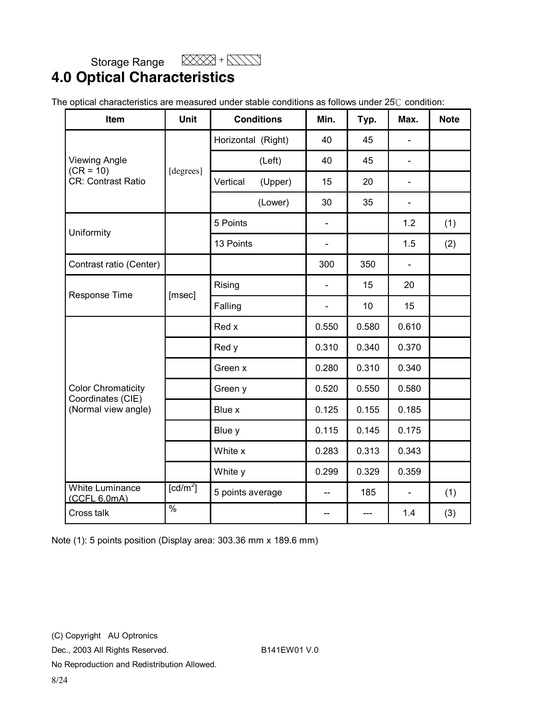$\boxtimes$  +  $\boxtimes$  +  $\boxtimes$ 

## Storage Range **4.0 Optical Characteristics**

| Item                                           | <b>Unit</b>            | <b>Conditions</b>  |         | Min.                     | Typ.  | Max.           | <b>Note</b> |
|------------------------------------------------|------------------------|--------------------|---------|--------------------------|-------|----------------|-------------|
|                                                |                        | Horizontal (Right) |         | 40                       | 45    |                |             |
| <b>Viewing Angle</b><br>$(CR = 10)$            |                        |                    | (Left)  | 40                       | 45    | $\blacksquare$ |             |
| CR: Contrast Ratio                             | [degrees]              | Vertical           | (Upper) | 15                       | 20    |                |             |
|                                                |                        |                    | (Lower) | 30                       | 35    |                |             |
| Uniformity                                     |                        | 5 Points           |         | L,                       |       | 1.2            | (1)         |
|                                                |                        | 13 Points          |         | $\blacksquare$           |       | 1.5            | (2)         |
| Contrast ratio (Center)                        |                        |                    |         | 300                      | 350   | $\blacksquare$ |             |
|                                                |                        | Rising             |         | $\overline{\phantom{0}}$ | 15    | 20             |             |
| Response Time                                  | [msec]                 | Falling            |         |                          | 10    | 15             |             |
|                                                |                        | Red x              |         | 0.550                    | 0.580 | 0.610          |             |
|                                                |                        | Red y              |         | 0.310                    | 0.340 | 0.370          |             |
|                                                |                        | Green x            |         | 0.280                    | 0.310 | 0.340          |             |
| <b>Color Chromaticity</b><br>Coordinates (CIE) |                        | Green y            |         | 0.520                    | 0.550 | 0.580          |             |
| (Normal view angle)                            |                        | Blue x             |         | 0.125                    | 0.155 | 0.185          |             |
|                                                |                        | Blue y             |         | 0.115                    | 0.145 | 0.175          |             |
|                                                |                        | White x            |         | 0.283                    | 0.313 | 0.343          |             |
|                                                |                        | White y            |         | 0.299                    | 0.329 | 0.359          |             |
| White Luminance<br>(CCFL 6.0mA)                | $\lceil cd/m^2 \rceil$ | 5 points average   |         | --                       | 185   | $\blacksquare$ | (1)         |
| Cross talk                                     | $\%$                   |                    |         | --                       | $---$ | 1.4            | (3)         |

Note (1): 5 points position (Display area: 303.36 mm x 189.6 mm)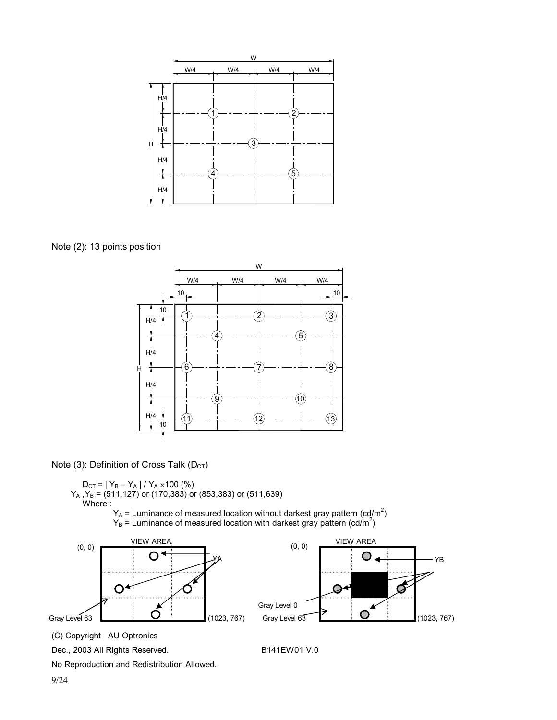

Note (2): 13 points position



Note (3): Definition of Cross Talk ( $D_{CT}$ )

 $D_{CT}$  = | Y<sub>B</sub> – Y<sub>A</sub> | / Y<sub>A</sub> × 100 (%)  $Y_A$  , $Y_B$  = (511,127) or (170,383) or (853,383) or (511,639) Where :  $Y_A$  = Luminance of measured location without darkest gray pattern (cd/m<sup>2</sup>)

 $Y_B$  = Luminance of measured location with darkest gray pattern (cd/m<sup>2</sup>)





(C) Copyright AU Optronics

Dec., 2003 All Rights Reserved. B141EW01 V.0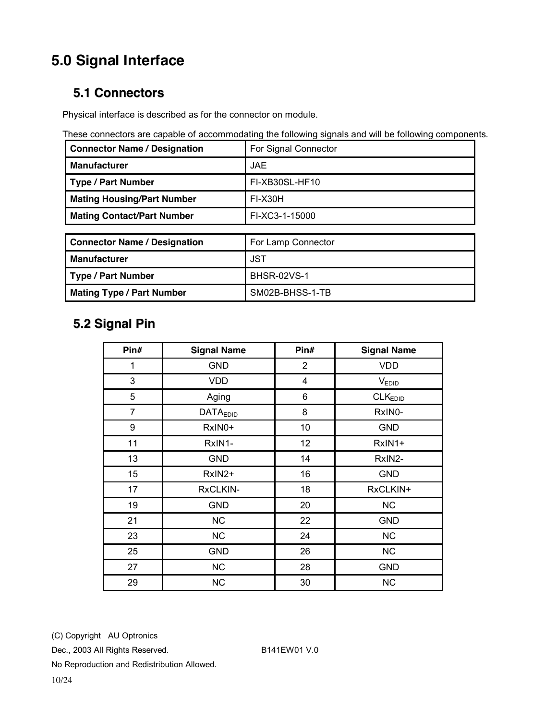# **5.0 Signal Interface**

### **5.1 Connectors**

Physical interface is described as for the connector on module.

These connectors are capable of accommodating the following signals and will be following components.

| <b>Connector Name / Designation</b> | For Signal Connector |
|-------------------------------------|----------------------|
| <b>Manufacturer</b>                 | <b>JAE</b>           |
| <b>Type / Part Number</b>           | FI-XB30SL-HF10       |
| <b>Mating Housing/Part Number</b>   | <b>FI-X30H</b>       |
| <b>Mating Contact/Part Number</b>   | FI-XC3-1-15000       |
|                                     |                      |
| <b>Connector Name / Designation</b> | For Lamp Connector   |
| <b>Manufacturer</b>                 | <b>JST</b>           |
| <b>Type / Part Number</b>           | <b>BHSR-02VS-1</b>   |
| <b>Mating Type / Part Number</b>    | SM02B-BHSS-1-TB      |

## **5.2 Signal Pin**

| Pin#           | <b>Signal Name</b> | Pin#            | <b>Signal Name</b>  |
|----------------|--------------------|-----------------|---------------------|
| 1              | <b>GND</b>         | $\overline{2}$  | <b>VDD</b>          |
| 3              | <b>VDD</b>         | 4               | $V_{EDID}$          |
| 5              | Aging              | 6               | CLK <sub>EDID</sub> |
| $\overline{7}$ | <b>DATAEDID</b>    | 8               | RxIN0-              |
| 9              | RxIN0+             | 10              | <b>GND</b>          |
| 11             | RxIN1-             | 12 <sub>2</sub> | RxIN1+              |
| 13             | <b>GND</b>         | 14              | RxIN2-              |
| 15             | RxIN2+             | 16              | <b>GND</b>          |
| 17             | RxCLKIN-           | 18              | RxCLKIN+            |
| 19             | <b>GND</b>         | 20              | <b>NC</b>           |
| 21             | <b>NC</b>          | 22              | <b>GND</b>          |
| 23             | <b>NC</b>          | 24              | NC                  |
| 25             | <b>GND</b>         | 26              | NC                  |
| 27             | <b>NC</b>          | 28              | <b>GND</b>          |
| 29             | <b>NC</b>          | 30              | <b>NC</b>           |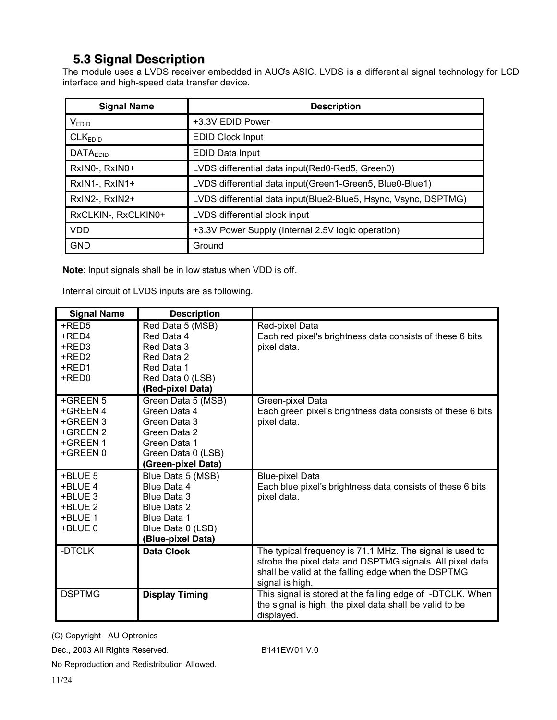### **5.3 Signal Description**

The module uses a LVDS receiver embedded in AUOs ASIC. LVDS is a differential signal technology for LCD interface and high-speed data transfer device.

| <b>Signal Name</b>  | <b>Description</b>                                              |
|---------------------|-----------------------------------------------------------------|
| V <sub>EDID</sub>   | +3.3V EDID Power                                                |
| CLK <sub>EDID</sub> | <b>EDID Clock Input</b>                                         |
| <b>DATAEDID</b>     | <b>EDID Data Input</b>                                          |
| RxIN0-, RxIN0+      | LVDS differential data input(Red0-Red5, Green0)                 |
| RxIN1-, RxIN1+      | LVDS differential data input(Green1-Green5, Blue0-Blue1)        |
| RxIN2-, RxIN2+      | LVDS differential data input(Blue2-Blue5, Hsync, Vsync, DSPTMG) |
| RxCLKIN-, RxCLKIN0+ | LVDS differential clock input                                   |
| <b>VDD</b>          | +3.3V Power Supply (Internal 2.5V logic operation)              |
| <b>GND</b>          | Ground                                                          |

**Note**: Input signals shall be in low status when VDD is off.

Internal circuit of LVDS inputs are as following.

| <b>Signal Name</b> | <b>Description</b>    |                                                             |
|--------------------|-----------------------|-------------------------------------------------------------|
| +RED5              | Red Data 5 (MSB)      | Red-pixel Data                                              |
| +RED4              | Red Data 4            | Each red pixel's brightness data consists of these 6 bits   |
| +RED3              | Red Data 3            | pixel data.                                                 |
| +RED2              | Red Data 2            |                                                             |
| +RED1              | Red Data 1            |                                                             |
| +RED0              | Red Data 0 (LSB)      |                                                             |
|                    | (Red-pixel Data)      |                                                             |
| +GREEN 5           | Green Data 5 (MSB)    | Green-pixel Data                                            |
| +GREEN 4           | Green Data 4          | Each green pixel's brightness data consists of these 6 bits |
| +GREEN 3           | Green Data 3          | pixel data.                                                 |
| +GREEN 2           | Green Data 2          |                                                             |
| +GREEN 1           | Green Data 1          |                                                             |
| +GREEN 0           | Green Data 0 (LSB)    |                                                             |
|                    | (Green-pixel Data)    |                                                             |
| +BLUE 5            | Blue Data 5 (MSB)     | <b>Blue-pixel Data</b>                                      |
| +BLUE 4            | Blue Data 4           | Each blue pixel's brightness data consists of these 6 bits  |
| +BLUE 3            | Blue Data 3           | pixel data.                                                 |
| +BLUE 2            | Blue Data 2           |                                                             |
| +BLUE 1            | <b>Blue Data 1</b>    |                                                             |
| +BLUE 0            | Blue Data 0 (LSB)     |                                                             |
|                    | (Blue-pixel Data)     |                                                             |
| -DTCLK             | <b>Data Clock</b>     | The typical frequency is 71.1 MHz. The signal is used to    |
|                    |                       | strobe the pixel data and DSPTMG signals. All pixel data    |
|                    |                       | shall be valid at the falling edge when the DSPTMG          |
|                    |                       | signal is high.                                             |
| <b>DSPTMG</b>      | <b>Display Timing</b> | This signal is stored at the falling edge of -DTCLK. When   |
|                    |                       | the signal is high, the pixel data shall be valid to be     |
|                    |                       | displayed.                                                  |

(C) Copyright AU Optronics

Dec., 2003 All Rights Reserved. B141EW01 V.0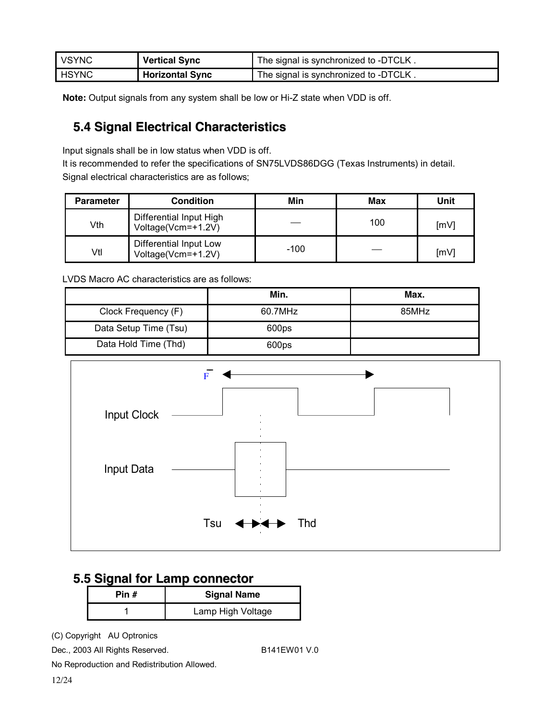| <b>VSYNC</b> | <b>Vertical Sync</b>   | <sup>1</sup> The signal is synchronized to -DTCLK. |
|--------------|------------------------|----------------------------------------------------|
| <b>HSYNC</b> | <b>Horizontal Sync</b> | The signal is synchronized to -DTCLK.              |

**Note:** Output signals from any system shall be low or Hi-Z state when VDD is off.

### **5.4 Signal Electrical Characteristics**

Input signals shall be in low status when VDD is off.

It is recommended to refer the specifications of SN75LVDS86DGG (Texas Instruments) in detail. Signal electrical characteristics are as follows;

| <b>Parameter</b> | <b>Condition</b>                              | Min    | Max | Unit |
|------------------|-----------------------------------------------|--------|-----|------|
| Vth              | Differential Input High<br>Voltage(Vcm=+1.2V) |        | 100 | [mV] |
| Vtl              | Differential Input Low<br>Voltage(Vcm=+1.2V)  | $-100$ |     | [mV] |

LVDS Macro AC characteristics are as follows:

|                       | Min.    | Max.  |
|-----------------------|---------|-------|
| Clock Frequency (F)   | 60.7MHz | 85MHz |
| Data Setup Time (Tsu) | 600ps   |       |
| Data Hold Time (Thd)  | 600ps   |       |



#### **5.5 Signal for Lamp connector**

| Pin # | <b>Signal Name</b> |
|-------|--------------------|
|       | Lamp High Voltage  |

(C) Copyright AU Optronics

Dec., 2003 All Rights Reserved. B141EW01 V.0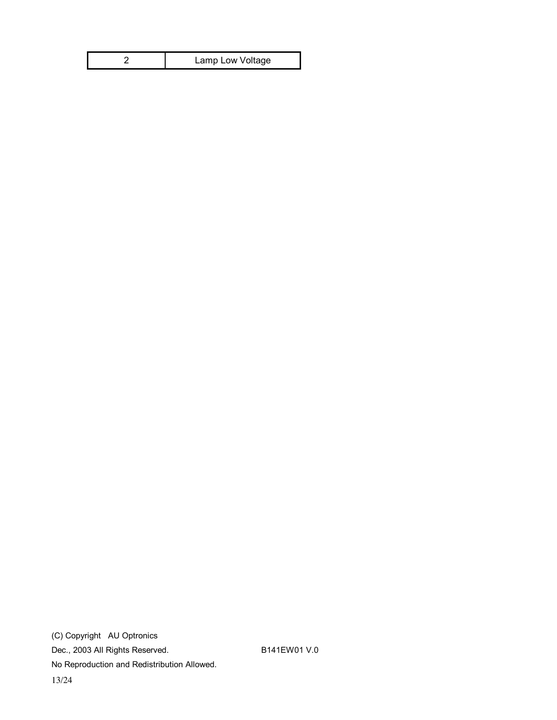| Lamp Low Voltage |
|------------------|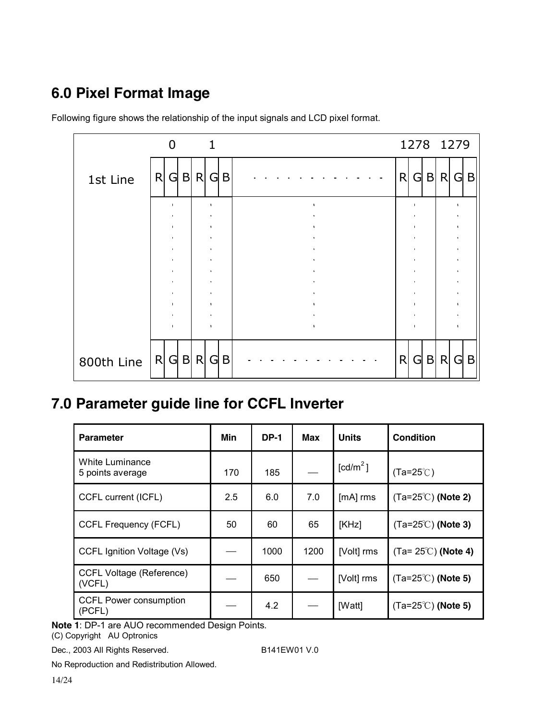# **6.0 Pixel Format Image**

|            |         | 0 |         | $\mathbf{1}$ |     |                |   | 1278 1279      |   |               |              |  |
|------------|---------|---|---------|--------------|-----|----------------|---|----------------|---|---------------|--------------|--|
| 1st Line   | R       |   | $G$ B R |              | G B |                | R |                |   | $G$ B R $G$ B |              |  |
|            |         |   |         |              |     | $\blacksquare$ |   |                |   |               |              |  |
|            |         |   |         |              |     |                |   |                |   |               |              |  |
|            |         |   |         |              |     |                |   |                |   |               |              |  |
|            |         |   |         |              |     |                |   |                |   |               |              |  |
|            |         |   |         |              |     |                |   |                |   |               |              |  |
|            |         |   |         |              |     |                |   | $\blacksquare$ |   |               | $\mathbf{I}$ |  |
|            |         |   |         |              |     | $\mathbf{I}$   |   |                |   |               |              |  |
| 800th Line | R G B R |   |         |              | G B |                | R | G              | B |               | $R$ G B      |  |

Following figure shows the relationship of the input signals and LCD pixel format.

# **7.0 Parameter guide line for CCFL Inverter**

| <b>Parameter</b>                          | Min | <b>DP-1</b> | Max  | <b>Units</b>       | <b>Condition</b>                   |
|-------------------------------------------|-----|-------------|------|--------------------|------------------------------------|
| White Luminance<br>5 points average       | 170 | 185         |      | $\text{[cd/m}^2$ ] | $(Ta=25^{\circ}C)$                 |
| CCFL current (ICFL)                       | 2.5 | 6.0         | 7.0  | $[mA]$ rms         | $(Ta=25^{\circ}C)$ (Note 2)        |
| <b>CCFL Frequency (FCFL)</b>              | 50  | 60          | 65   | [KHz]              | $(Ta=25^{\circ}C)$ (Note 3)        |
| CCFL Ignition Voltage (Vs)                |     | 1000        | 1200 | [Volt] rms         | $(Ta=25^{\circ}\text{C})$ (Note 4) |
| <b>CCFL Voltage (Reference)</b><br>(VCFL) |     | 650         |      | [Volt] rms         | $(Ta=25^{\circ}C)$ (Note 5)        |
| <b>CCFL Power consumption</b><br>(PCFL)   |     | 4.2         |      | [Watt]             | $(Ta=25^{\circ}C)$ (Note 5)        |

**Note 1**: DP-1 are AUO recommended Design Points.

(C) Copyright AU Optronics

Dec., 2003 All Rights Reserved. B141EW01 V.0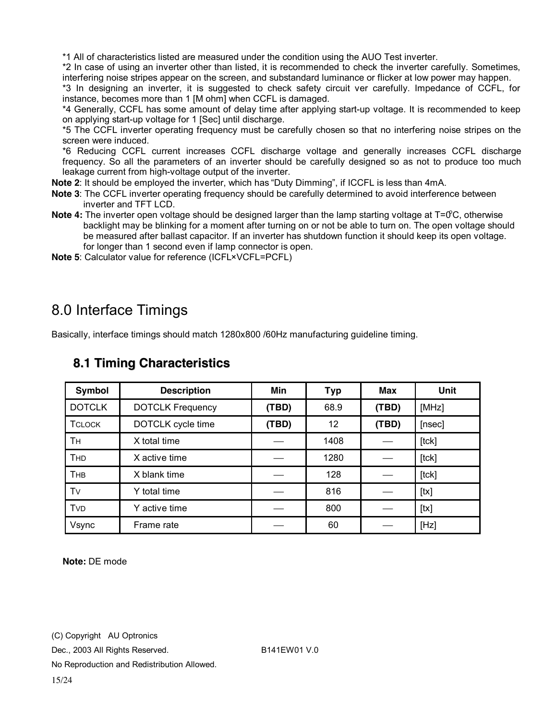\*1 All of characteristics listed are measured under the condition using the AUO Test inverter.

\*2 In case of using an inverter other than listed, it is recommended to check the inverter carefully. Sometimes, interfering noise stripes appear on the screen, and substandard luminance or flicker at low power may happen.

\*3 In designing an inverter, it is suggested to check safety circuit ver carefully. Impedance of CCFL, for instance, becomes more than 1 [M ohm] when CCFL is damaged.

\*4 Generally, CCFL has some amount of delay time after applying start-up voltage. It is recommended to keep on applying start-up voltage for 1 [Sec] until discharge.

\*5 The CCFL inverter operating frequency must be carefully chosen so that no interfering noise stripes on the screen were induced.

\*6 Reducing CCFL current increases CCFL discharge voltage and generally increases CCFL discharge frequency. So all the parameters of an inverter should be carefully designed so as not to produce too much leakage current from high-voltage output of the inverter.

**Note 2**: It should be employed the inverter, which has "Duty Dimming", if ICCFL is less than 4mA.

- **Note 3**: The CCFL inverter operating frequency should be carefully determined to avoid interference between inverter and TFT LCD.
- Note 4: The inverter open voltage should be designed larger than the lamp starting voltage at T=0°C, otherwise backlight may be blinking for a moment after turning on or not be able to turn on. The open voltage should be measured after ballast capacitor. If an inverter has shutdown function it should keep its open voltage. for longer than 1 second even if lamp connector is open.
- **Note 5**: Calculator value for reference (ICFL×VCFL=PCFL)

### 8.0 Interface Timings

Basically, interface timings should match 1280x800 /60Hz manufacturing guideline timing.

| Symbol        | <b>Description</b>      | Min   | <b>Typ</b> | Max   | <b>Unit</b> |
|---------------|-------------------------|-------|------------|-------|-------------|
| <b>DOTCLK</b> | <b>DOTCLK Frequency</b> | (TBD) | 68.9       | (TBD) | [MHz]       |
| <b>TCLOCK</b> | DOTCLK cycle time       | (TBD) | 12         | (TBD) | [nsec]      |
| Тн            | X total time            |       | 1408       |       | [tck]       |
| <b>THD</b>    | X active time           |       | 1280       |       | $[$ tck $]$ |
| Тнв           | X blank time            |       | 128        |       | $[$ tck $]$ |
| Tv            | Y total time            |       | 816        |       | [tx]        |
| <b>TVD</b>    | Y active time           |       | 800        |       | [tx]        |
| Vsync         | Frame rate              |       | 60         |       | [Hz]        |

#### **8.1 Timing Characteristics**

**Note:** DE mode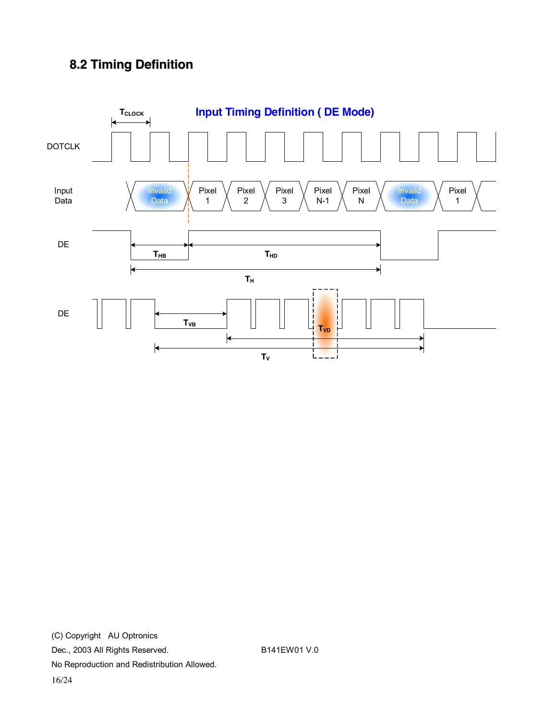## **8.2 Timing Definition**

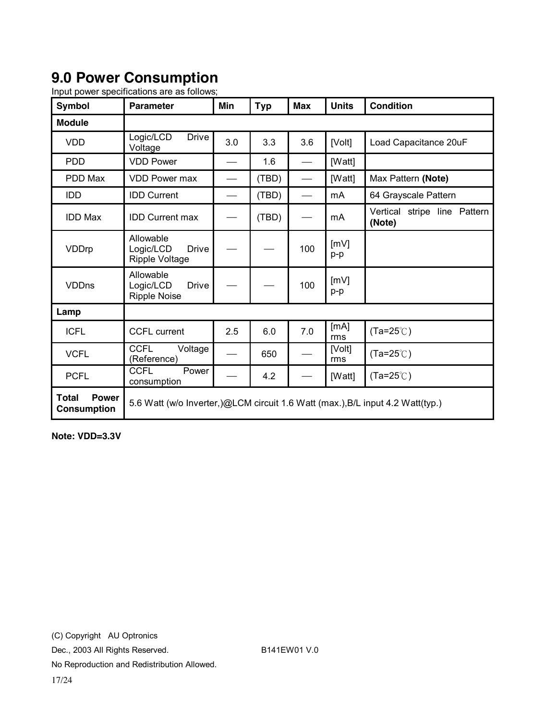# **9.0 Power Consumption**

| <b>Symbol</b>                                      | <b>Parameter</b>                                                               | Min | <b>Typ</b> | <b>Max</b> | <b>Units</b>  | <b>Condition</b>                       |
|----------------------------------------------------|--------------------------------------------------------------------------------|-----|------------|------------|---------------|----------------------------------------|
| <b>Module</b>                                      |                                                                                |     |            |            |               |                                        |
| <b>VDD</b>                                         | Logic/LCD<br>Drive<br>Voltage                                                  | 3.0 | 3.3        | 3.6        | [Volt]        | Load Capacitance 20uF                  |
| <b>PDD</b>                                         | <b>VDD Power</b>                                                               |     | 1.6        |            | [Watt]        |                                        |
| PDD Max                                            | VDD Power max                                                                  |     | (TBD)      |            | [Watt]        | Max Pattern (Note)                     |
| <b>IDD</b>                                         | <b>IDD Current</b>                                                             |     | (TBD)      |            | mA            | 64 Grayscale Pattern                   |
| <b>IDD Max</b>                                     | <b>IDD Current max</b>                                                         |     | (TBD)      |            | mA            | Vertical stripe line Pattern<br>(Note) |
| VDDrp                                              | Allowable<br>Logic/LCD<br><b>Drive</b><br>Ripple Voltage                       |     |            | 100        | [mV]<br>p-p   |                                        |
| <b>VDDns</b>                                       | Allowable<br>Logic/LCD<br><b>Drive</b><br><b>Ripple Noise</b>                  |     |            | 100        | [mV]<br>p-p   |                                        |
| Lamp                                               |                                                                                |     |            |            |               |                                        |
| <b>ICFL</b>                                        | <b>CCFL current</b>                                                            | 2.5 | 6.0        | 7.0        | [mA]<br>rms   | $(Ta=25^{\circ}C)$                     |
| <b>VCFL</b>                                        | <b>CCFL</b><br>Voltage<br>(Reference)                                          |     | 650        |            | [Volt]<br>rms | $(Ta=25^{\circ}C)$                     |
| <b>PCFL</b>                                        | <b>CCFL</b><br>Power<br>consumption                                            |     | 4.2        |            | [Watt]        | $(Ta=25^{\circ}C)$                     |
| <b>Power</b><br><b>Total</b><br><b>Consumption</b> | 5.6 Watt (w/o Inverter,)@LCM circuit 1.6 Watt (max.), B/L input 4.2 Watt(typ.) |     |            |            |               |                                        |

Input power specifications are as follows;

**Note: VDD=3.3V**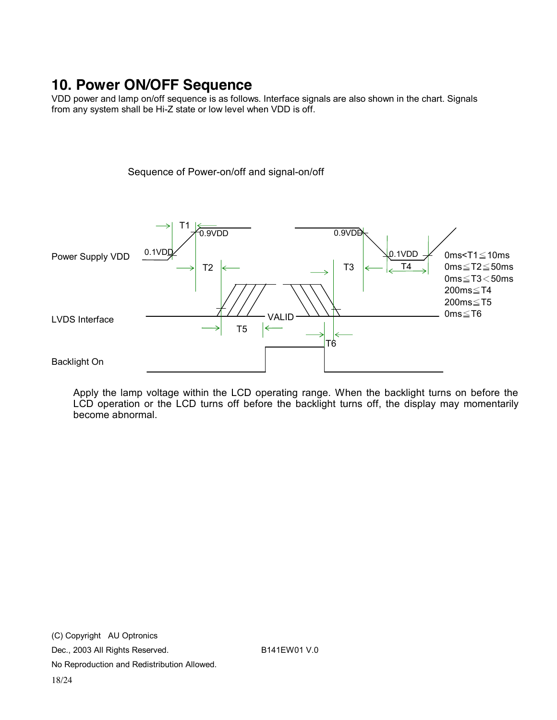## **10. Power ON/OFF Sequence**

VDD power and lamp on/off sequence is as follows. Interface signals are also shown in the chart. Signals from any system shall be Hi-Z state or low level when VDD is off.

Sequence of Power-on/off and signal-on/off



Apply the lamp voltage within the LCD operating range. When the backlight turns on before the LCD operation or the LCD turns off before the backlight turns off, the display may momentarily become abnormal.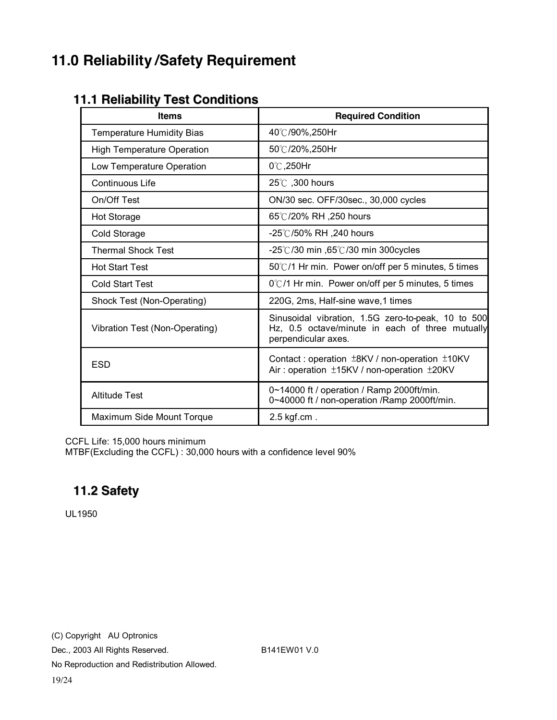# **11.0 Reliability /Safety Requirement**

## **11.1 Reliability Test Conditions**

| <b>Items</b>                      | <b>Required Condition</b>                                                                                                    |
|-----------------------------------|------------------------------------------------------------------------------------------------------------------------------|
| <b>Temperature Humidity Bias</b>  | 40℃/90%,250Hr                                                                                                                |
| <b>High Temperature Operation</b> | 50℃/20%,250Hr                                                                                                                |
| Low Temperature Operation         | $0^{\circ}$ C, 250Hr                                                                                                         |
| Continuous Life                   | 25°C, 300 hours                                                                                                              |
| On/Off Test                       | ON/30 sec. OFF/30sec., 30,000 cycles                                                                                         |
| <b>Hot Storage</b>                | 65℃/20% RH ,250 hours                                                                                                        |
| Cold Storage                      | -25℃/50% RH ,240 hours                                                                                                       |
| <b>Thermal Shock Test</b>         | -25°C/30 min ,65°C/30 min 300 cycles                                                                                         |
| <b>Hot Start Test</b>             | 50°C/1 Hr min. Power on/off per 5 minutes, 5 times                                                                           |
| <b>Cold Start Test</b>            | $0^{\circ}$ C/1 Hr min. Power on/off per 5 minutes, 5 times                                                                  |
| Shock Test (Non-Operating)        | 220G, 2ms, Half-sine wave, 1 times                                                                                           |
| Vibration Test (Non-Operating)    | Sinusoidal vibration, 1.5G zero-to-peak, 10 to 500<br>Hz, 0.5 octave/minute in each of three mutually<br>perpendicular axes. |
| <b>ESD</b>                        | Contact: operation $\pm$ 8KV / non-operation $\pm$ 10KV<br>Air: operation ±15KV / non-operation ±20KV                        |
| <b>Altitude Test</b>              | 0~14000 ft / operation / Ramp 2000ft/min.<br>0~40000 ft / non-operation / Ramp 2000ft/min.                                   |
| Maximum Side Mount Torque         | $2.5$ kgf.cm.                                                                                                                |

CCFL Life: 15,000 hours minimum

MTBF(Excluding the CCFL) : 30,000 hours with a confidence level 90%

### **11.2 Safety**

UL1950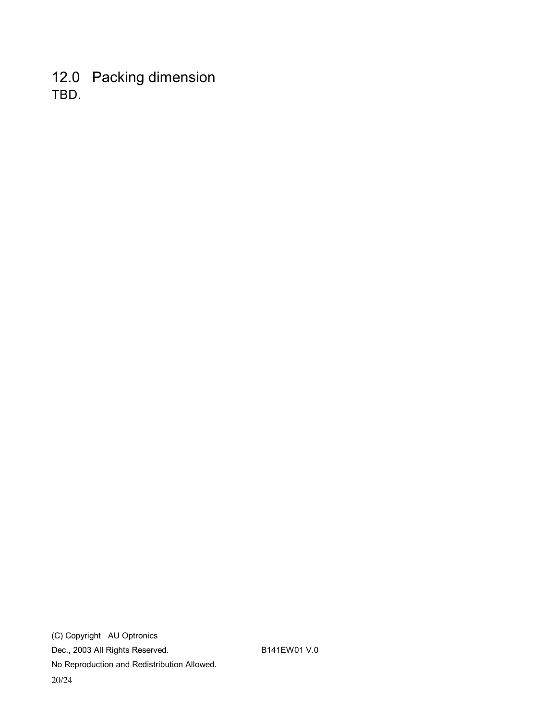12.0 Packing dimension TBD.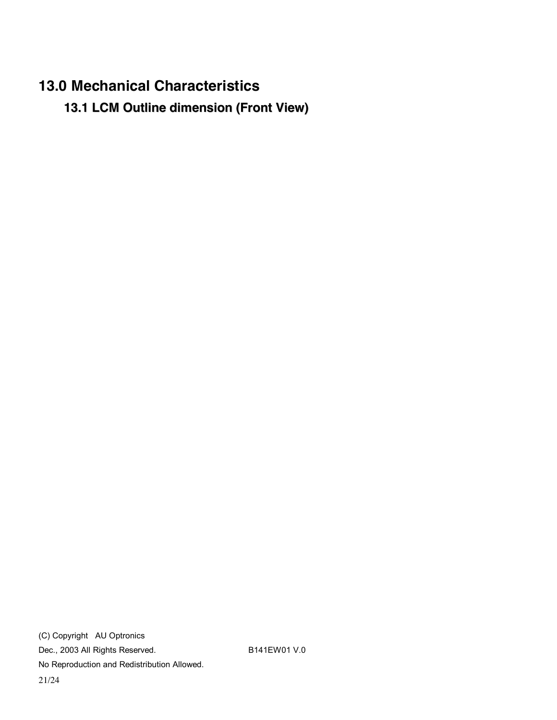## **13.0 Mechanical Characteristics**

**13.1 LCM Outline dimension (Front View)**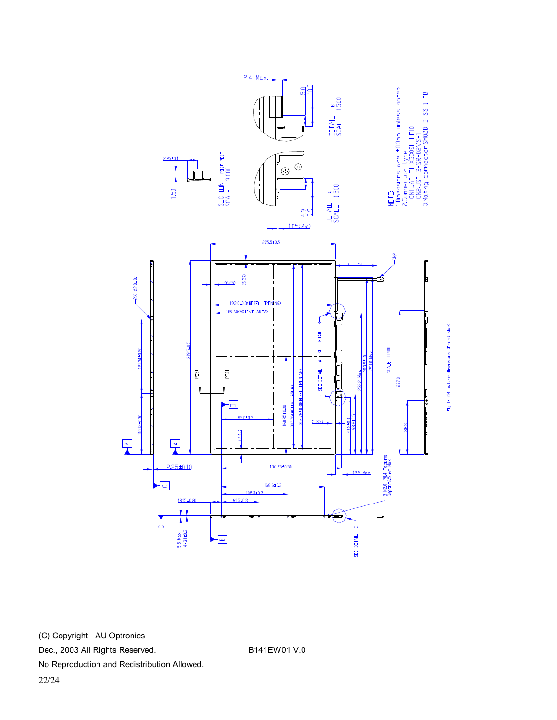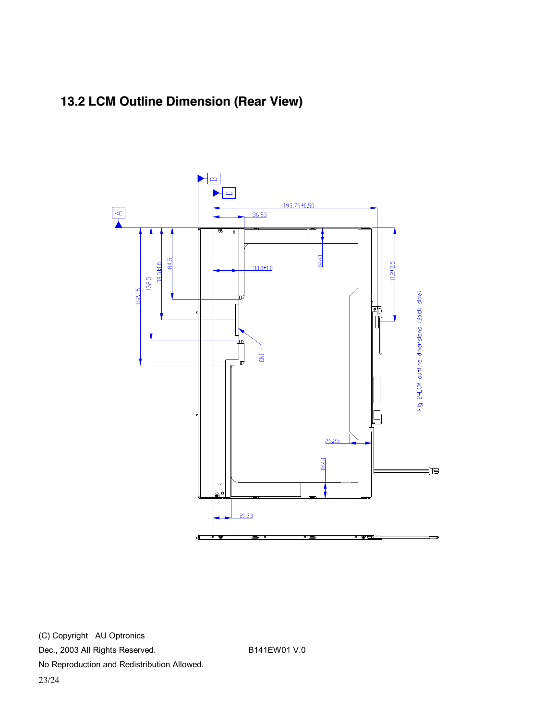# **13.2 LCM Outline Dimension (Rear View)**